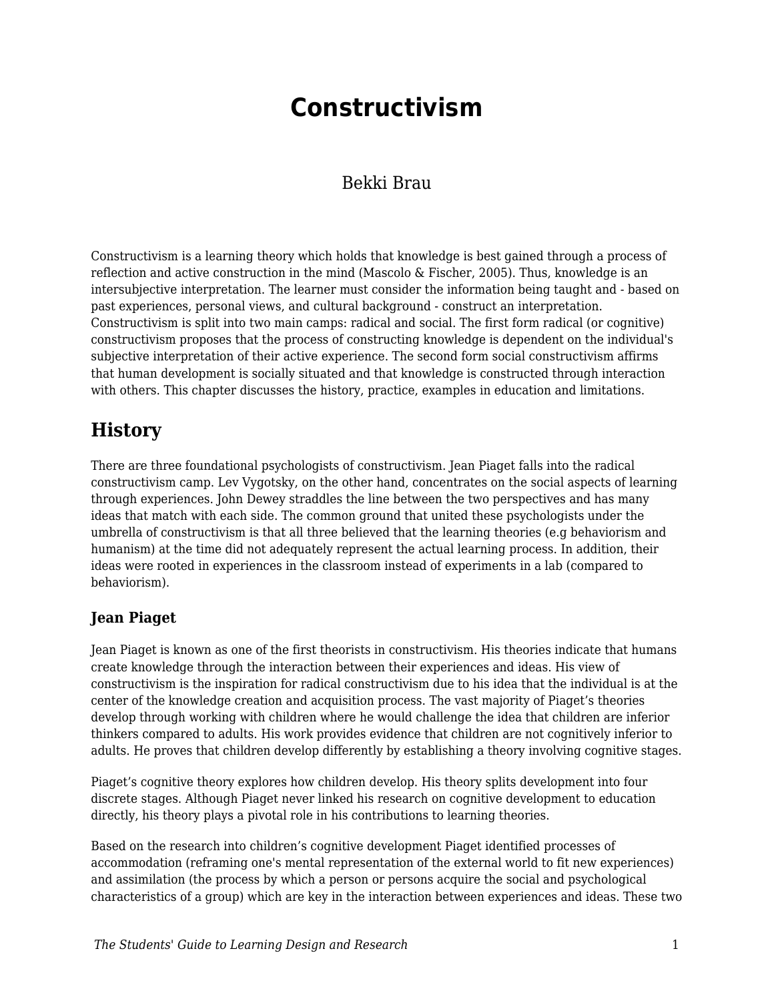# **Constructivism**

### Bekki Brau

Constructivism is a learning theory which holds that knowledge is best gained through a process of reflection and active construction in the mind (Mascolo & Fischer, 2005). Thus, knowledge is an intersubjective interpretation. The learner must consider the information being taught and - based on past experiences, personal views, and cultural background - construct an interpretation. Constructivism is split into two main camps: radical and social. The first form radical (or cognitive) constructivism proposes that the process of constructing knowledge is dependent on the individual's subjective interpretation of their active experience. The second form social constructivism affirms that human development is socially situated and that knowledge is constructed through interaction with others. This chapter discusses the history, practice, examples in education and limitations.

### **History**

There are three foundational psychologists of constructivism. Jean Piaget falls into the radical constructivism camp. Lev Vygotsky, on the other hand, concentrates on the social aspects of learning through experiences. John Dewey straddles the line between the two perspectives and has many ideas that match with each side. The common ground that united these psychologists under the umbrella of constructivism is that all three believed that the learning theories (e.g behaviorism and humanism) at the time did not adequately represent the actual learning process. In addition, their ideas were rooted in experiences in the classroom instead of experiments in a lab (compared to behaviorism).

### **Jean Piaget**

Jean Piaget is known as one of the first theorists in constructivism. His theories indicate that humans create knowledge through the interaction between their experiences and ideas. His view of constructivism is the inspiration for radical constructivism due to his idea that the individual is at the center of the knowledge creation and acquisition process. The vast majority of Piaget's theories develop through working with children where he would challenge the idea that children are inferior thinkers compared to adults. His work provides evidence that children are not cognitively inferior to adults. He proves that children develop differently by establishing a theory involving cognitive stages.

Piaget's cognitive theory explores how children develop. His theory splits development into four discrete stages. Although Piaget never linked his research on cognitive development to education directly, his theory plays a pivotal role in his contributions to learning theories.

Based on the research into children's cognitive development Piaget identified processes of accommodation (reframing one's mental representation of the external world to fit new experiences) and assimilation (the process by which a person or persons acquire the social and psychological characteristics of a group) which are key in the interaction between experiences and ideas. These two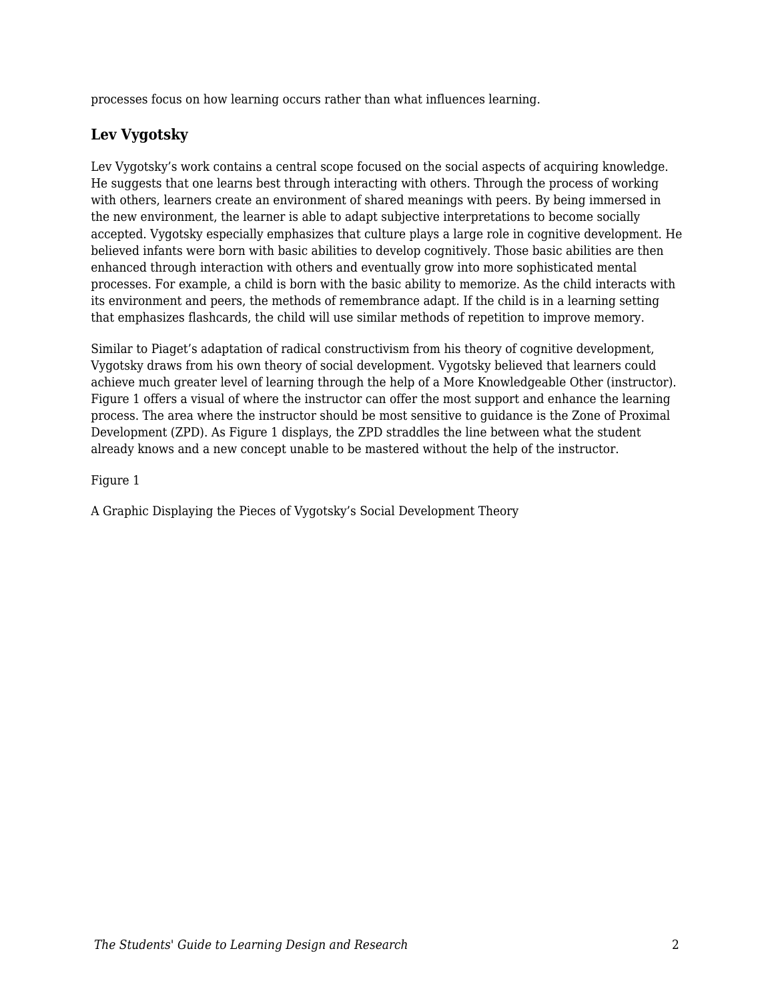processes focus on how learning occurs rather than what influences learning.

#### **Lev Vygotsky**

Lev Vygotsky's work contains a central scope focused on the social aspects of acquiring knowledge. He suggests that one learns best through interacting with others. Through the process of working with others, learners create an environment of shared meanings with peers. By being immersed in the new environment, the learner is able to adapt subjective interpretations to become socially accepted. Vygotsky especially emphasizes that culture plays a large role in cognitive development. He believed infants were born with basic abilities to develop cognitively. Those basic abilities are then enhanced through interaction with others and eventually grow into more sophisticated mental processes. For example, a child is born with the basic ability to memorize. As the child interacts with its environment and peers, the methods of remembrance adapt. If the child is in a learning setting that emphasizes flashcards, the child will use similar methods of repetition to improve memory.

Similar to Piaget's adaptation of radical constructivism from his theory of cognitive development, Vygotsky draws from his own theory of social development. Vygotsky believed that learners could achieve much greater level of learning through the help of a More Knowledgeable Other (instructor). Figure 1 offers a visual of where the instructor can offer the most support and enhance the learning process. The area where the instructor should be most sensitive to guidance is the Zone of Proximal Development (ZPD). As Figure 1 displays, the ZPD straddles the line between what the student already knows and a new concept unable to be mastered without the help of the instructor.

Figure 1

A Graphic Displaying the Pieces of Vygotsky's Social Development Theory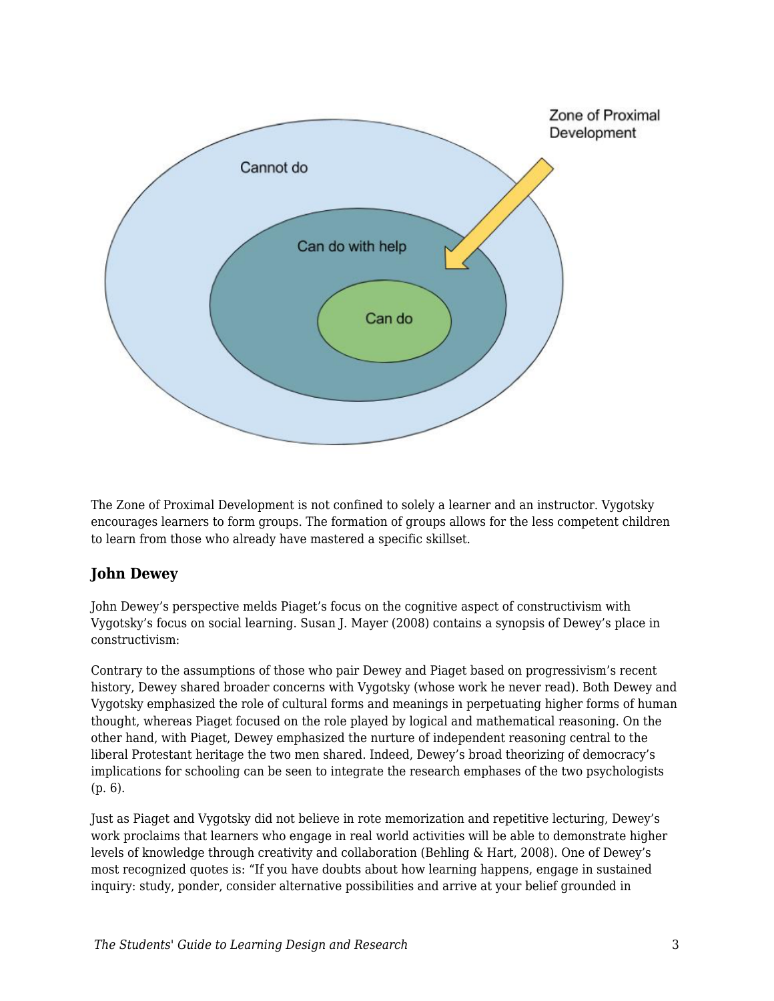

The Zone of Proximal Development is not confined to solely a learner and an instructor. Vygotsky encourages learners to form groups. The formation of groups allows for the less competent children to learn from those who already have mastered a specific skillset.

#### **John Dewey**

John Dewey's perspective melds Piaget's focus on the cognitive aspect of constructivism with Vygotsky's focus on social learning. Susan J. Mayer (2008) contains a synopsis of Dewey's place in constructivism:

Contrary to the assumptions of those who pair Dewey and Piaget based on progressivism's recent history, Dewey shared broader concerns with Vygotsky (whose work he never read). Both Dewey and Vygotsky emphasized the role of cultural forms and meanings in perpetuating higher forms of human thought, whereas Piaget focused on the role played by logical and mathematical reasoning. On the other hand, with Piaget, Dewey emphasized the nurture of independent reasoning central to the liberal Protestant heritage the two men shared. Indeed, Dewey's broad theorizing of democracy's implications for schooling can be seen to integrate the research emphases of the two psychologists (p. 6).

Just as Piaget and Vygotsky did not believe in rote memorization and repetitive lecturing, Dewey's work proclaims that learners who engage in real world activities will be able to demonstrate higher levels of knowledge through creativity and collaboration (Behling & Hart, 2008). One of Dewey's most recognized quotes is: "If you have doubts about how learning happens, engage in sustained inquiry: study, ponder, consider alternative possibilities and arrive at your belief grounded in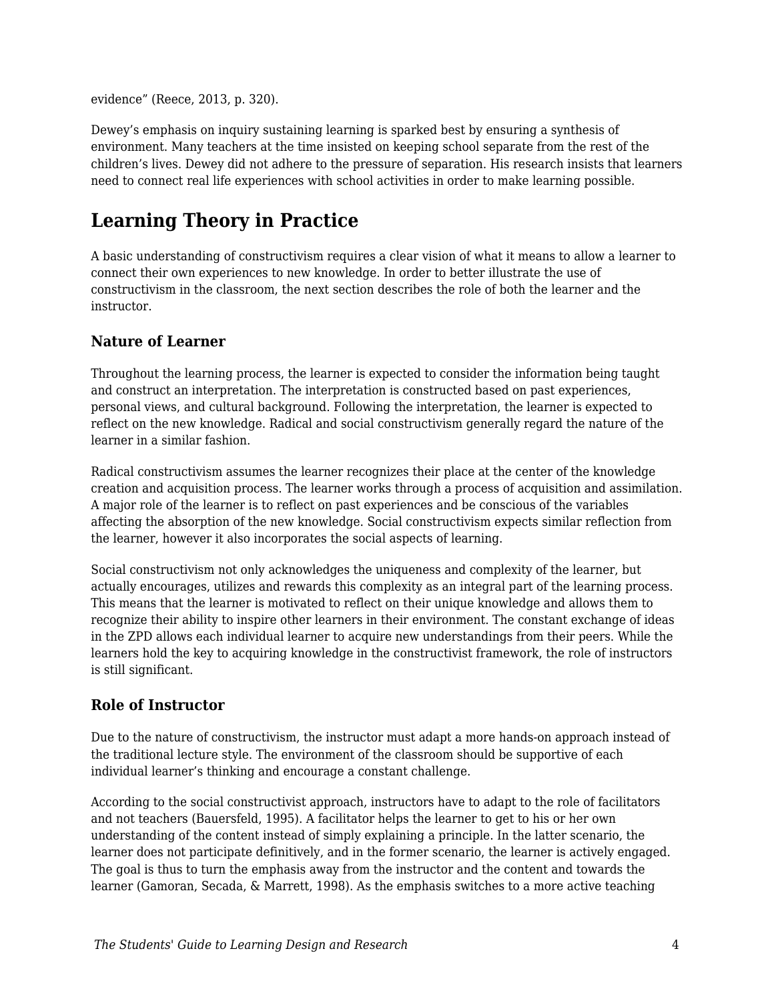evidence" (Reece, 2013, p. 320).

Dewey's emphasis on inquiry sustaining learning is sparked best by ensuring a synthesis of environment. Many teachers at the time insisted on keeping school separate from the rest of the children's lives. Dewey did not adhere to the pressure of separation. His research insists that learners need to connect real life experiences with school activities in order to make learning possible.

# **Learning Theory in Practice**

A basic understanding of constructivism requires a clear vision of what it means to allow a learner to connect their own experiences to new knowledge. In order to better illustrate the use of constructivism in the classroom, the next section describes the role of both the learner and the instructor.

#### **Nature of Learner**

Throughout the learning process, the learner is expected to consider the information being taught and construct an interpretation. The interpretation is constructed based on past experiences, personal views, and cultural background. Following the interpretation, the learner is expected to reflect on the new knowledge. Radical and social constructivism generally regard the nature of the learner in a similar fashion.

Radical constructivism assumes the learner recognizes their place at the center of the knowledge creation and acquisition process. The learner works through a process of acquisition and assimilation. A major role of the learner is to reflect on past experiences and be conscious of the variables affecting the absorption of the new knowledge. Social constructivism expects similar reflection from the learner, however it also incorporates the social aspects of learning.

Social constructivism not only acknowledges the uniqueness and complexity of the learner, but actually encourages, utilizes and rewards this complexity as an integral part of the learning process. This means that the learner is motivated to reflect on their unique knowledge and allows them to recognize their ability to inspire other learners in their environment. The constant exchange of ideas in the ZPD allows each individual learner to acquire new understandings from their peers. While the learners hold the key to acquiring knowledge in the constructivist framework, the role of instructors is still significant.

#### **Role of Instructor**

Due to the nature of constructivism, the instructor must adapt a more hands-on approach instead of the traditional lecture style. The environment of the classroom should be supportive of each individual learner's thinking and encourage a constant challenge.

According to the social constructivist approach, instructors have to adapt to the role of facilitators and not teachers (Bauersfeld, 1995). A facilitator helps the learner to get to his or her own understanding of the content instead of simply explaining a principle. In the latter scenario, the learner does not participate definitively, and in the former scenario, the learner is actively engaged. The goal is thus to turn the emphasis away from the instructor and the content and towards the learner (Gamoran, Secada, & Marrett, 1998). As the emphasis switches to a more active teaching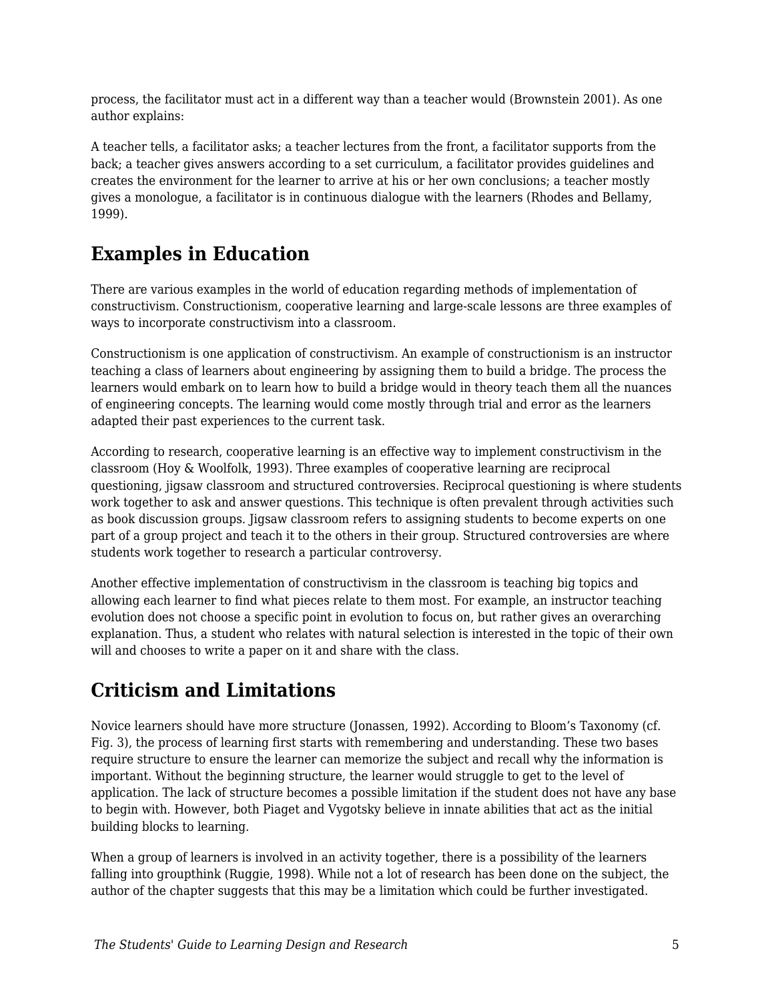process, the facilitator must act in a different way than a teacher would (Brownstein 2001). As one author explains:

A teacher tells, a facilitator asks; a teacher lectures from the front, a facilitator supports from the back; a teacher gives answers according to a set curriculum, a facilitator provides guidelines and creates the environment for the learner to arrive at his or her own conclusions; a teacher mostly gives a monologue, a facilitator is in continuous dialogue with the learners (Rhodes and Bellamy, 1999).

## **Examples in Education**

There are various examples in the world of education regarding methods of implementation of constructivism. Constructionism, cooperative learning and large-scale lessons are three examples of ways to incorporate constructivism into a classroom.

Constructionism is one application of constructivism. An example of constructionism is an instructor teaching a class of learners about engineering by assigning them to build a bridge. The process the learners would embark on to learn how to build a bridge would in theory teach them all the nuances of engineering concepts. The learning would come mostly through trial and error as the learners adapted their past experiences to the current task.

According to research, cooperative learning is an effective way to implement constructivism in the classroom (Hoy & Woolfolk, 1993). Three examples of cooperative learning are reciprocal questioning, jigsaw classroom and structured controversies. Reciprocal questioning is where students work together to ask and answer questions. This technique is often prevalent through activities such as book discussion groups. Jigsaw classroom refers to assigning students to become experts on one part of a group project and teach it to the others in their group. Structured controversies are where students work together to research a particular controversy.

Another effective implementation of constructivism in the classroom is teaching big topics and allowing each learner to find what pieces relate to them most. For example, an instructor teaching evolution does not choose a specific point in evolution to focus on, but rather gives an overarching explanation. Thus, a student who relates with natural selection is interested in the topic of their own will and chooses to write a paper on it and share with the class.

# **Criticism and Limitations**

Novice learners should have more structure (Jonassen, 1992). According to Bloom's Taxonomy (cf. Fig. 3), the process of learning first starts with remembering and understanding. These two bases require structure to ensure the learner can memorize the subject and recall why the information is important. Without the beginning structure, the learner would struggle to get to the level of application. The lack of structure becomes a possible limitation if the student does not have any base to begin with. However, both Piaget and Vygotsky believe in innate abilities that act as the initial building blocks to learning.

When a group of learners is involved in an activity together, there is a possibility of the learners falling into groupthink (Ruggie, 1998). While not a lot of research has been done on the subject, the author of the chapter suggests that this may be a limitation which could be further investigated.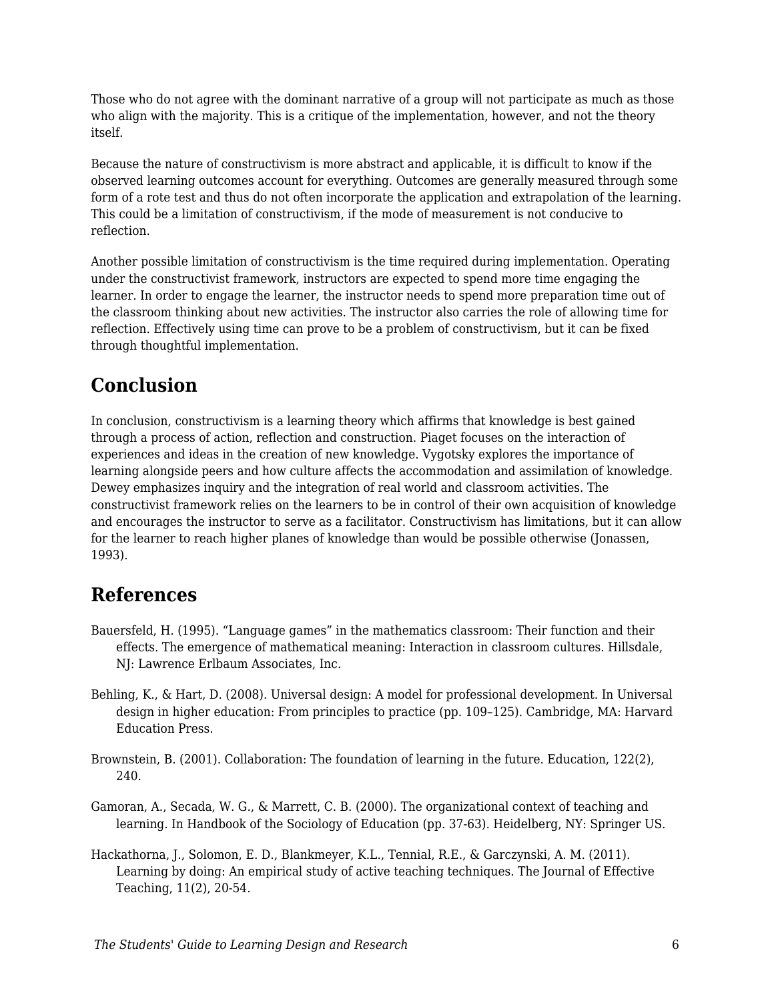Those who do not agree with the dominant narrative of a group will not participate as much as those who align with the majority. This is a critique of the implementation, however, and not the theory itself.

Because the nature of constructivism is more abstract and applicable, it is difficult to know if the observed learning outcomes account for everything. Outcomes are generally measured through some form of a rote test and thus do not often incorporate the application and extrapolation of the learning. This could be a limitation of constructivism, if the mode of measurement is not conducive to reflection.

Another possible limitation of constructivism is the time required during implementation. Operating under the constructivist framework, instructors are expected to spend more time engaging the learner. In order to engage the learner, the instructor needs to spend more preparation time out of the classroom thinking about new activities. The instructor also carries the role of allowing time for reflection. Effectively using time can prove to be a problem of constructivism, but it can be fixed through thoughtful implementation.

## **Conclusion**

In conclusion, constructivism is a learning theory which affirms that knowledge is best gained through a process of action, reflection and construction. Piaget focuses on the interaction of experiences and ideas in the creation of new knowledge. Vygotsky explores the importance of learning alongside peers and how culture affects the accommodation and assimilation of knowledge. Dewey emphasizes inquiry and the integration of real world and classroom activities. The constructivist framework relies on the learners to be in control of their own acquisition of knowledge and encourages the instructor to serve as a facilitator. Constructivism has limitations, but it can allow for the learner to reach higher planes of knowledge than would be possible otherwise (Jonassen, 1993).

### **References**

- Bauersfeld, H. (1995). "Language games" in the mathematics classroom: Their function and their effects. The emergence of mathematical meaning: Interaction in classroom cultures. Hillsdale, NJ: Lawrence Erlbaum Associates, Inc.
- Behling, K., & Hart, D. (2008). Universal design: A model for professional development. In Universal design in higher education: From principles to practice (pp. 109–125). Cambridge, MA: Harvard Education Press.
- Brownstein, B. (2001). Collaboration: The foundation of learning in the future. Education, 122(2), 240.
- Gamoran, A., Secada, W. G., & Marrett, C. B. (2000). The organizational context of teaching and learning. In Handbook of the Sociology of Education (pp. 37-63). Heidelberg, NY: Springer US.
- Hackathorna, J., Solomon, E. D., Blankmeyer, K.L., Tennial, R.E., & Garczynski, A. M. (2011). Learning by doing: An empirical study of active teaching techniques. The Journal of Effective Teaching, 11(2), 20-54.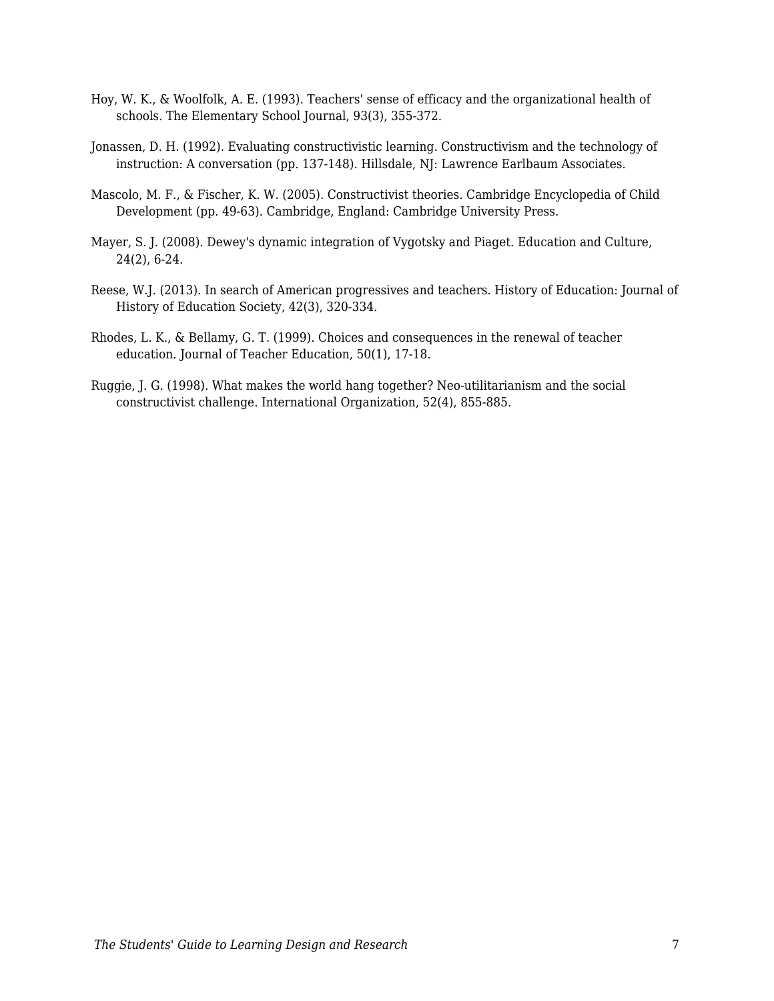- Hoy, W. K., & Woolfolk, A. E. (1993). Teachers' sense of efficacy and the organizational health of schools. The Elementary School Journal, 93(3), 355-372.
- Jonassen, D. H. (1992). Evaluating constructivistic learning. Constructivism and the technology of instruction: A conversation (pp. 137-148). Hillsdale, NJ: Lawrence Earlbaum Associates.
- Mascolo, M. F., & Fischer, K. W. (2005). Constructivist theories. Cambridge Encyclopedia of Child Development (pp. 49-63). Cambridge, England: Cambridge University Press.
- Mayer, S. J. (2008). Dewey's dynamic integration of Vygotsky and Piaget. Education and Culture, 24(2), 6-24.
- Reese, W.J. (2013). In search of American progressives and teachers. History of Education: Journal of History of Education Society, 42(3), 320-334.
- Rhodes, L. K., & Bellamy, G. T. (1999). Choices and consequences in the renewal of teacher education. Journal of Teacher Education, 50(1), 17-18.
- Ruggie, J. G. (1998). What makes the world hang together? Neo-utilitarianism and the social constructivist challenge. International Organization, 52(4), 855-885.